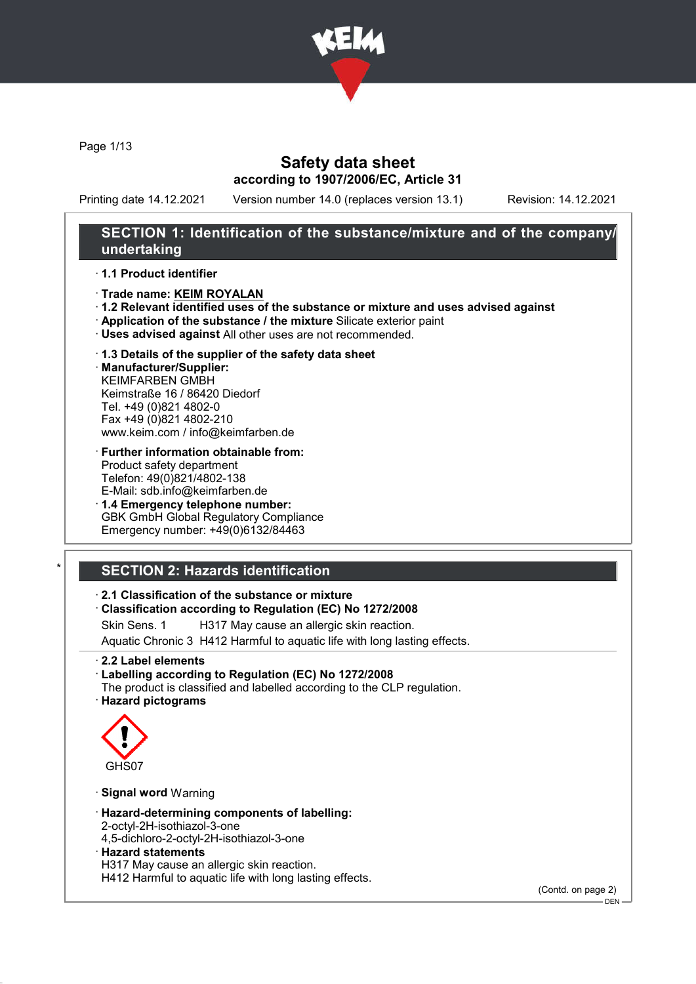

Page 1/13

### Safety data sheet according to 1907/2006/EC, Article 31

Printing date 14.12.2021 Version number 14.0 (replaces version 13.1) Revision: 14.12.2021

### SECTION 1: Identification of the substance/mixture and of the company/ undertaking

#### · 1.1 Product identifier

- · Trade name: KEIM ROYALAN
- · 1.2 Relevant identified uses of the substance or mixture and uses advised against
- · Application of the substance / the mixture Silicate exterior paint
- · Uses advised against All other uses are not recommended.

#### · 1.3 Details of the supplier of the safety data sheet

· Manufacturer/Supplier: KEIMFARBEN GMBH Keimstraße 16 / 86420 Diedorf Tel. +49 (0)821 4802-0 Fax +49 (0)821 4802-210 www.keim.com / info@keimfarben.de

- · Further information obtainable from: Product safety department Telefon: 49(0)821/4802-138 E-Mail: sdb.info@keimfarben.de
- · 1.4 Emergency telephone number: GBK GmbH Global Regulatory Compliance Emergency number: +49(0)6132/84463

# **SECTION 2: Hazards identification**

#### · 2.1 Classification of the substance or mixture

#### · Classification according to Regulation (EC) No 1272/2008

Skin Sens. 1 H317 May cause an allergic skin reaction.

Aquatic Chronic 3 H412 Harmful to aquatic life with long lasting effects.

- · 2.2 Label elements
- · Labelling according to Regulation (EC) No 1272/2008 The product is classified and labelled according to the CLP regulation.
- · Hazard pictograms



#### · Signal word Warning

- · Hazard-determining components of labelling:
- 2-octyl-2H-isothiazol-3-one
- 4,5-dichloro-2-octyl-2H-isothiazol-3-one
- · Hazard statements
- H317 May cause an allergic skin reaction.

H412 Harmful to aquatic life with long lasting effects.

(Contd. on page 2)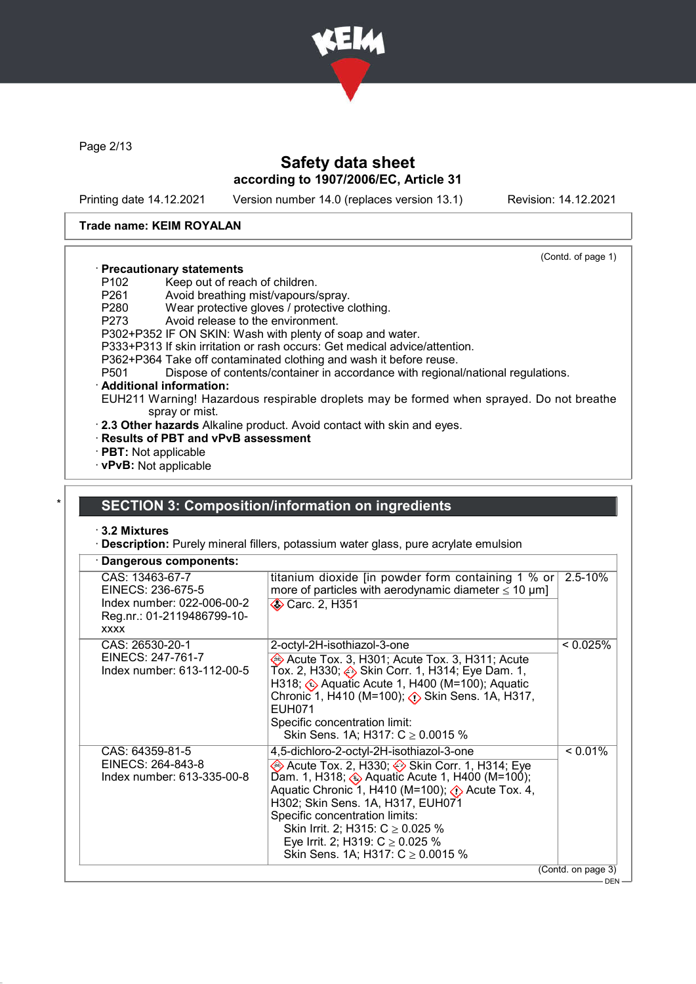

Page 2/13

# Safety data sheet according to 1907/2006/EC, Article 31

Printing date 14.12.2021 Version number 14.0 (replaces version 13.1) Revision: 14.12.2021

(Contd. of page 1)

#### Trade name: KEIM ROYALAN

### · Precautionary statements

- P102 Keep out of reach of children.<br>P261 Avoid breathing mist/vapours/
- P261 Avoid breathing mist/vapours/spray.<br>P280 Wear protective gloves / protective of
- Wear protective gloves / protective clothing.
- P273 Avoid release to the environment.
- P302+P352 IF ON SKIN: Wash with plenty of soap and water.
- P333+P313 If skin irritation or rash occurs: Get medical advice/attention.
- P362+P364 Take off contaminated clothing and wash it before reuse.<br>P501 Dispose of contents/container in accordance with regiona
- Dispose of contents/container in accordance with regional/national regulations.

#### · Additional information:

EUH211 Warning! Hazardous respirable droplets may be formed when sprayed. Do not breathe spray or mist.

- · 2.3 Other hazards Alkaline product. Avoid contact with skin and eyes.
- · Results of PBT and vPvB assessment
- · PBT: Not applicable
- · vPvB: Not applicable

#### SECTION 3: Composition/information on ingredients

#### · 3.2 Mixtures

· Description: Purely mineral fillers, potassium water glass, pure acrylate emulsion

| CAS: 13463-67-7<br>titanium dioxide [in powder form containing 1 % or]<br>$2.5 - 10%$<br>more of particles with aerodynamic diameter $\leq 10 \ \mu m$ ]<br>EINECS: 236-675-5<br>Index number: 022-006-00-2<br><b>♦ Carc. 2, H351</b><br>Reg.nr.: 01-2119486799-10-<br><b>XXXX</b><br>CAS: 26530-20-1<br>< 0.025%<br>2-octyl-2H-isothiazol-3-one<br>EINECS: 247-761-7<br>Acute Tox. 3, H301; Acute Tox. 3, H311; Acute<br>Index number: 613-112-00-5<br>Tox. 2, H330; . Skin Corr. 1, H314; Eye Dam. 1,<br>H318; ۞ Aquatic Acute 1, H400 (M=100); Aquatic<br>Chronic 1, H410 (M=100); $\diamond$ Skin Sens. 1A, H317,<br><b>EUH071</b><br>Specific concentration limit:<br>Skin Sens. 1A; H317: $C \ge 0.0015$ %<br>$< 0.01\%$<br>CAS: 64359-81-5<br>4,5-dichloro-2-octyl-2H-isothiazol-3-one<br>EINECS: 264-843-8<br>Acute Tox. 2, H330; Skin Corr. 1, H314; Eye<br>Dam. 1, H318; $\leftrightarrow$ Aquatic Acute 1, H400 (M=100);<br>Index number: 613-335-00-8<br>Aquatic Chronic 1, H410 (M=100); (1) Acute Tox. 4,<br>H302; Skin Sens. 1A, H317, EUH071<br>Specific concentration limits:<br>Skin Irrit. 2; H315: $C \ge 0.025$ %<br>Eye Irrit. 2; H319: $C \ge 0.025$ %<br>Skin Sens. 1A; H317: $C \ge 0.0015$ %<br>(Contd. on page 3) | Dangerous components: |  |  |
|----------------------------------------------------------------------------------------------------------------------------------------------------------------------------------------------------------------------------------------------------------------------------------------------------------------------------------------------------------------------------------------------------------------------------------------------------------------------------------------------------------------------------------------------------------------------------------------------------------------------------------------------------------------------------------------------------------------------------------------------------------------------------------------------------------------------------------------------------------------------------------------------------------------------------------------------------------------------------------------------------------------------------------------------------------------------------------------------------------------------------------------------------------------------------------------------------------------------------------------------|-----------------------|--|--|
|                                                                                                                                                                                                                                                                                                                                                                                                                                                                                                                                                                                                                                                                                                                                                                                                                                                                                                                                                                                                                                                                                                                                                                                                                                              |                       |  |  |
|                                                                                                                                                                                                                                                                                                                                                                                                                                                                                                                                                                                                                                                                                                                                                                                                                                                                                                                                                                                                                                                                                                                                                                                                                                              |                       |  |  |
|                                                                                                                                                                                                                                                                                                                                                                                                                                                                                                                                                                                                                                                                                                                                                                                                                                                                                                                                                                                                                                                                                                                                                                                                                                              |                       |  |  |
|                                                                                                                                                                                                                                                                                                                                                                                                                                                                                                                                                                                                                                                                                                                                                                                                                                                                                                                                                                                                                                                                                                                                                                                                                                              | nr.                   |  |  |

DEN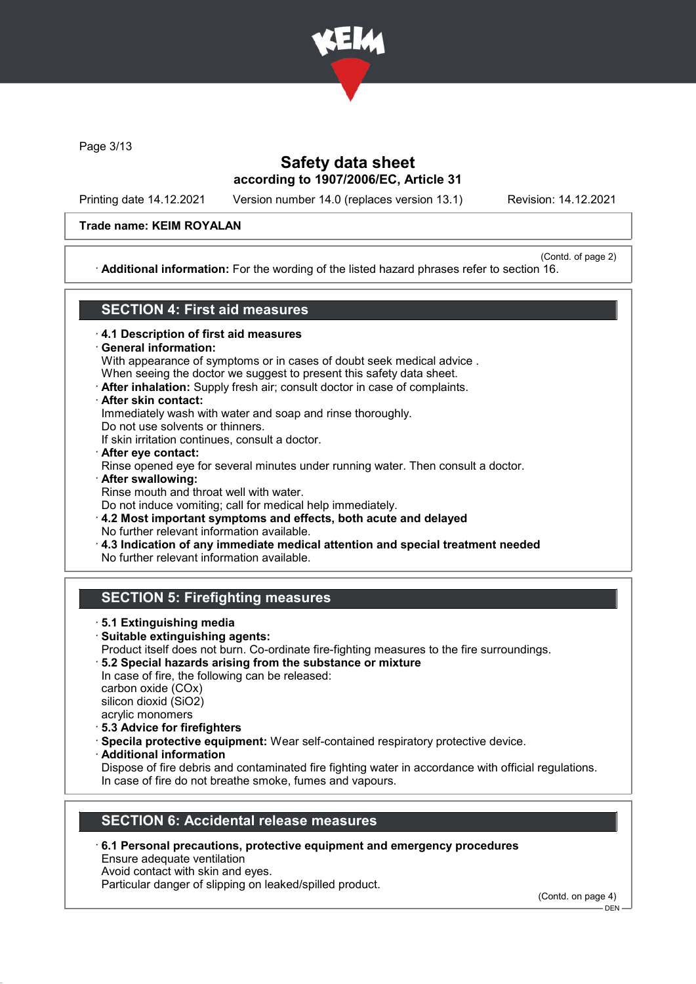

Page 3/13

# Safety data sheet according to 1907/2006/EC, Article 31

Printing date 14.12.2021 Version number 14.0 (replaces version 13.1) Revision: 14.12.2021

#### Trade name: KEIM ROYALAN

(Contd. of page 2) · Additional information: For the wording of the listed hazard phrases refer to section 16.

### SECTION 4: First aid measures

- · 4.1 Description of first aid measures
- General information:

With appearance of symptoms or in cases of doubt seek medical advice .

- When seeing the doctor we suggest to present this safety data sheet.
- · After inhalation: Supply fresh air; consult doctor in case of complaints.
- · After skin contact:

Immediately wash with water and soap and rinse thoroughly.

Do not use solvents or thinners.

If skin irritation continues, consult a doctor.

- · After eye contact: Rinse opened eye for several minutes under running water. Then consult a doctor. · After swallowing:
- Rinse mouth and throat well with water. Do not induce vomiting; call for medical help immediately.

· 4.2 Most important symptoms and effects, both acute and delayed No further relevant information available.

· 4.3 Indication of any immediate medical attention and special treatment needed

No further relevant information available.

# SECTION 5: Firefighting measures

- · 5.1 Extinguishing media
- · Suitable extinguishing agents: Product itself does not burn. Co-ordinate fire-fighting measures to the fire surroundings.
- · 5.2 Special hazards arising from the substance or mixture In case of fire, the following can be released:

carbon oxide (COx) silicon dioxid (SiO2) acrylic monomers

- · 5.3 Advice for firefighters
- · Specila protective equipment: Wear self-contained respiratory protective device.
- · Additional information

Dispose of fire debris and contaminated fire fighting water in accordance with official regulations. In case of fire do not breathe smoke, fumes and vapours.

# SECTION 6: Accidental release measures

· 6.1 Personal precautions, protective equipment and emergency procedures

Ensure adequate ventilation Avoid contact with skin and eyes.

Particular danger of slipping on leaked/spilled product.

(Contd. on page 4)

DEN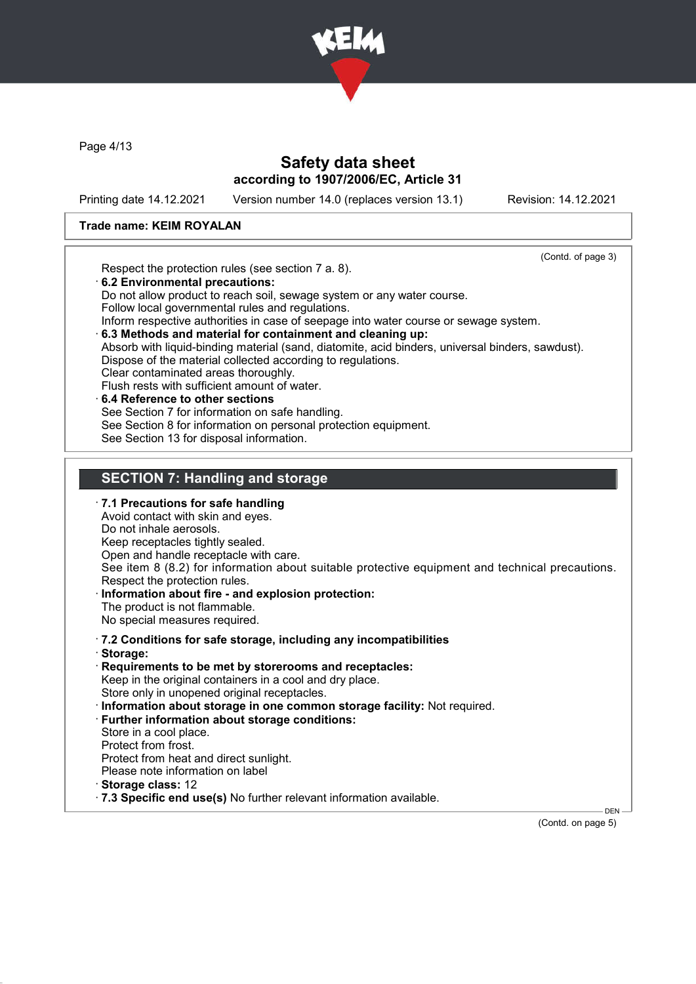

Page 4/13

### Safety data sheet according to 1907/2006/EC, Article 31

Printing date 14.12.2021 Version number 14.0 (replaces version 13.1) Revision: 14.12.2021

#### Trade name: KEIM ROYALAN

(Contd. of page 3) Respect the protection rules (see section 7 a. 8). · 6.2 Environmental precautions: Do not allow product to reach soil, sewage system or any water course. Follow local governmental rules and regulations. Inform respective authorities in case of seepage into water course or sewage system. · 6.3 Methods and material for containment and cleaning up: Absorb with liquid-binding material (sand, diatomite, acid binders, universal binders, sawdust). Dispose of the material collected according to regulations. Clear contaminated areas thoroughly. Flush rests with sufficient amount of water. 6.4 Reference to other sections See Section 7 for information on safe handling. See Section 8 for information on personal protection equipment. See Section 13 for disposal information. SECTION 7: Handling and storage · 7.1 Precautions for safe handling Avoid contact with skin and eyes. Do not inhale aerosols. Keep receptacles tightly sealed. Open and handle receptacle with care. See item 8 (8.2) for information about suitable protective equipment and technical precautions. Respect the protection rules. Information about fire - and explosion protection: The product is not flammable. No special measures required. · 7.2 Conditions for safe storage, including any incompatibilities · Storage: · Requirements to be met by storerooms and receptacles: Keep in the original containers in a cool and dry place. Store only in unopened original receptacles. · Information about storage in one common storage facility: Not required. · Further information about storage conditions: Store in a cool place. Protect from frost. Protect from heat and direct sunlight. Please note information on label · Storage class: 12 · 7.3 Specific end use(s) No further relevant information available. DEN

(Contd. on page 5)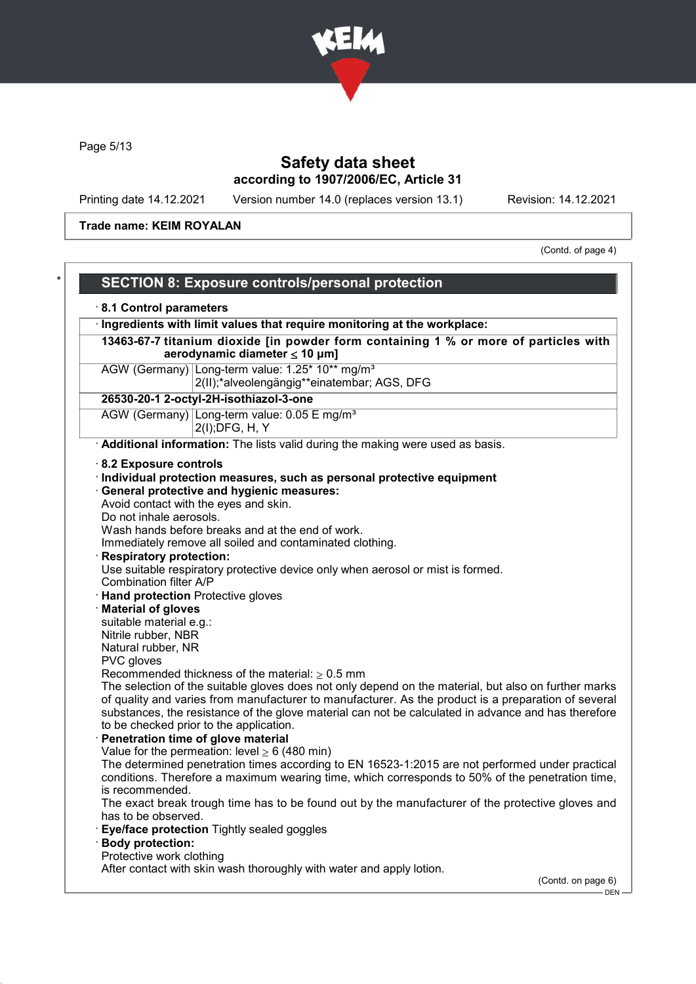

Page 5/13

# Safety data sheet according to 1907/2006/EC, Article 31

Printing date 14.12.2021 Version number 14.0 (replaces version 13.1) Revision: 14.12.2021

Trade name: KEIM ROYALAN

(Contd. of page 4)

| 8.1 Control parameters                   |                                                                                                                            |
|------------------------------------------|----------------------------------------------------------------------------------------------------------------------------|
|                                          | · Ingredients with limit values that require monitoring at the workplace:                                                  |
|                                          | 13463-67-7 titanium dioxide [in powder form containing 1 % or more of particles with<br>aerodynamic diameter $\leq 10$ µm] |
|                                          | AGW (Germany) Long-term value: 1.25* 10** mg/m <sup>3</sup><br>2(II);*alveolengängig**einatembar; AGS, DFG                 |
|                                          | 26530-20-1 2-octyl-2H-isothiazol-3-one                                                                                     |
|                                          | AGW (Germany) Long-term value: 0.05 E mg/m <sup>3</sup><br>2(I); DFG, H, Y                                                 |
|                                          | Additional information: The lists valid during the making were used as basis.                                              |
| 8.2 Exposure controls                    |                                                                                                                            |
|                                          | · Individual protection measures, such as personal protective equipment                                                    |
|                                          | · General protective and hygienic measures:                                                                                |
|                                          | Avoid contact with the eyes and skin.                                                                                      |
| Do not inhale aerosols.                  |                                                                                                                            |
|                                          | Wash hands before breaks and at the end of work.                                                                           |
|                                          | Immediately remove all soiled and contaminated clothing.                                                                   |
| <b>Respiratory protection:</b>           |                                                                                                                            |
| Combination filter A/P                   | Use suitable respiratory protective device only when aerosol or mist is formed.                                            |
| <b>Hand protection Protective gloves</b> |                                                                                                                            |
| <b>Material of gloves</b>                |                                                                                                                            |
| suitable material e.g.:                  |                                                                                                                            |
| Nitrile rubber, NBR                      |                                                                                                                            |
| Natural rubber, NR                       |                                                                                                                            |
| PVC gloves                               |                                                                                                                            |
|                                          | Recommended thickness of the material: $\geq 0.5$ mm                                                                       |
|                                          | The selection of the suitable gloves does not only depend on the material, but also on further marks                       |
|                                          | of quality and varies from manufacturer to manufacturer. As the product is a preparation of several                        |
|                                          | substances, the resistance of the glove material can not be calculated in advance and has therefore                        |
|                                          | to be checked prior to the application.<br>Penetration time of glove material                                              |
|                                          | Value for the permeation: level $\geq 6$ (480 min)                                                                         |
|                                          | The determined penetration times according to EN 16523-1:2015 are not performed under practical                            |
|                                          | conditions. Therefore a maximum wearing time, which corresponds to 50% of the penetration time,                            |
| is recommended.                          |                                                                                                                            |
|                                          | The exact break trough time has to be found out by the manufacturer of the protective gloves and                           |
| has to be observed.                      |                                                                                                                            |
|                                          | Eye/face protection Tightly sealed goggles                                                                                 |
| <b>Body protection:</b>                  |                                                                                                                            |
|                                          |                                                                                                                            |
| Protective work clothing                 | After contact with skin wash thoroughly with water and apply lotion.                                                       |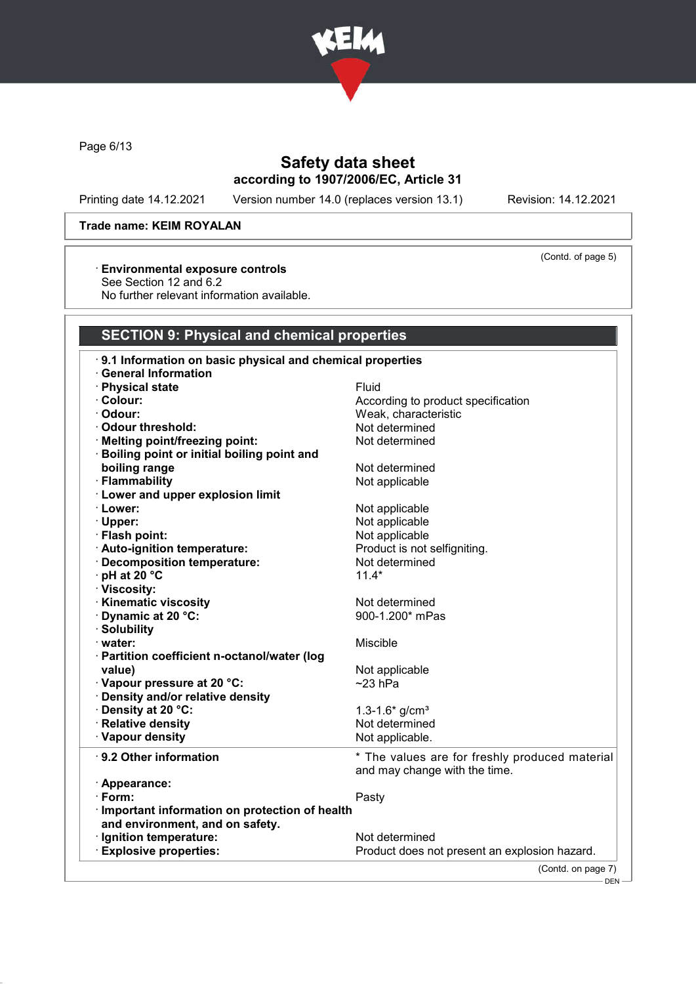

Page 6/13

# Safety data sheet according to 1907/2006/EC, Article 31

Printing date 14.12.2021 Version number 14.0 (replaces version 13.1) Revision: 14.12.2021

(Contd. of page 5)

#### Trade name: KEIM ROYALAN

### · Environmental exposure controls

See Section 12 and 6.2

No further relevant information available.

### SECTION 9: Physical and chemical properties

| 9.1 Information on basic physical and chemical properties |                                                |
|-----------------------------------------------------------|------------------------------------------------|
| <b>General Information</b>                                |                                                |
| · Physical state                                          | <b>Fluid</b>                                   |
| · Colour:                                                 | According to product specification             |
| · Odour:                                                  | Weak, characteristic                           |
| Odour threshold:                                          | Not determined                                 |
| · Melting point/freezing point:                           | Not determined                                 |
| · Boiling point or initial boiling point and              |                                                |
| boiling range                                             | Not determined                                 |
| · Flammability                                            | Not applicable                                 |
| · Lower and upper explosion limit                         |                                                |
| · Lower:                                                  | Not applicable                                 |
| · Upper:                                                  | Not applicable                                 |
| · Flash point:                                            | Not applicable                                 |
| · Auto-ignition temperature:                              | Product is not selfigniting.                   |
| · Decomposition temperature:                              | Not determined                                 |
| $\cdot$ pH at 20 $\degree$ C                              | $11.4*$                                        |
| · Viscosity:                                              |                                                |
| <b>Kinematic viscosity</b>                                | Not determined                                 |
| Dynamic at 20 °C:                                         | 900-1.200* mPas                                |
| · Solubility                                              |                                                |
| $\cdot$ water:                                            | Miscible                                       |
| · Partition coefficient n-octanol/water (log              |                                                |
| value)                                                    | Not applicable                                 |
| · Vapour pressure at 20 °C:                               | $~23$ hPa                                      |
| Density and/or relative density                           |                                                |
| Density at 20 °C:                                         | 1.3-1.6* $g/cm3$                               |
| · Relative density                                        | Not determined                                 |
| · Vapour density                                          | Not applicable.                                |
| $\cdot$ 9.2 Other information                             | * The values are for freshly produced material |
|                                                           | and may change with the time.                  |
| · Appearance:                                             |                                                |
| · Form:                                                   | Pasty                                          |
| · Important information on protection of health           |                                                |
| and environment, and on safety.                           |                                                |
| · Ignition temperature:                                   | Not determined                                 |
| <b>Explosive properties:</b>                              | Product does not present an explosion hazard.  |
|                                                           |                                                |
|                                                           | (Contd. on page 7)                             |

DEN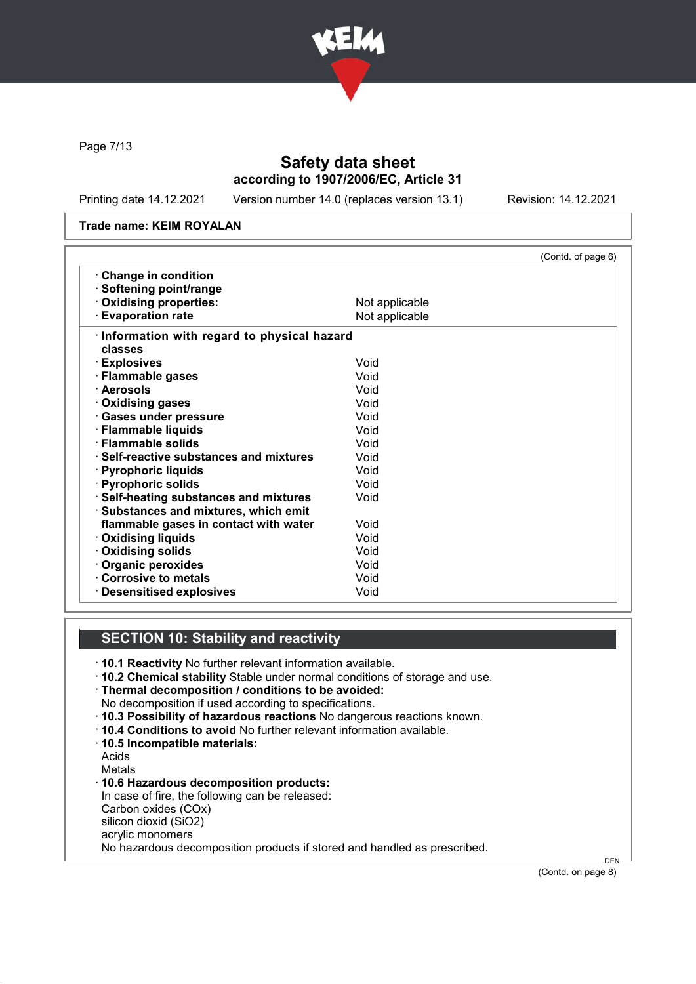

Page 7/13

# Safety data sheet according to 1907/2006/EC, Article 31

Printing date 14.12.2021 Version number 14.0 (replaces version 13.1) Revision: 14.12.2021

#### Trade name: KEIM ROYALAN

|                                               | (Contd. of page 6) |
|-----------------------------------------------|--------------------|
| Change in condition                           |                    |
| · Softening point/range                       |                    |
| · Oxidising properties:                       | Not applicable     |
| <b>Evaporation rate</b>                       | Not applicable     |
| · Information with regard to physical hazard  |                    |
| classes                                       |                    |
| · Explosives                                  | Void               |
| · Flammable gases                             | Void               |
| · Aerosols                                    | Void               |
| · Oxidising gases                             | Void               |
| · Gases under pressure                        | Void               |
| · Flammable liquids                           | Void               |
| · Flammable solids                            | Void               |
| $\cdot$ Self-reactive substances and mixtures | Void               |
| · Pyrophoric liquids                          | Void               |
| · Pyrophoric solids                           | Void               |
| · Self-heating substances and mixtures        | Void               |
| · Substances and mixtures, which emit         |                    |
| flammable gases in contact with water         | Void               |
| · Oxidising liquids                           | Void               |
| · Oxidising solids                            | Void               |
| · Organic peroxides                           | Void               |
| Corrosive to metals                           | Void               |
| · Desensitised explosives                     | Void               |

### SECTION 10: Stability and reactivity

- · 10.1 Reactivity No further relevant information available.
- · 10.2 Chemical stability Stable under normal conditions of storage and use.

· Thermal decomposition / conditions to be avoided:

- No decomposition if used according to specifications.
- · 10.3 Possibility of hazardous reactions No dangerous reactions known.
- · 10.4 Conditions to avoid No further relevant information available.
- · 10.5 Incompatible materials:

Acids Metals

· 10.6 Hazardous decomposition products: In case of fire, the following can be released: Carbon oxides (COx) silicon dioxid (SiO2) acrylic monomers No hazardous decomposition products if stored and handled as prescribed.

(Contd. on page 8)

DEN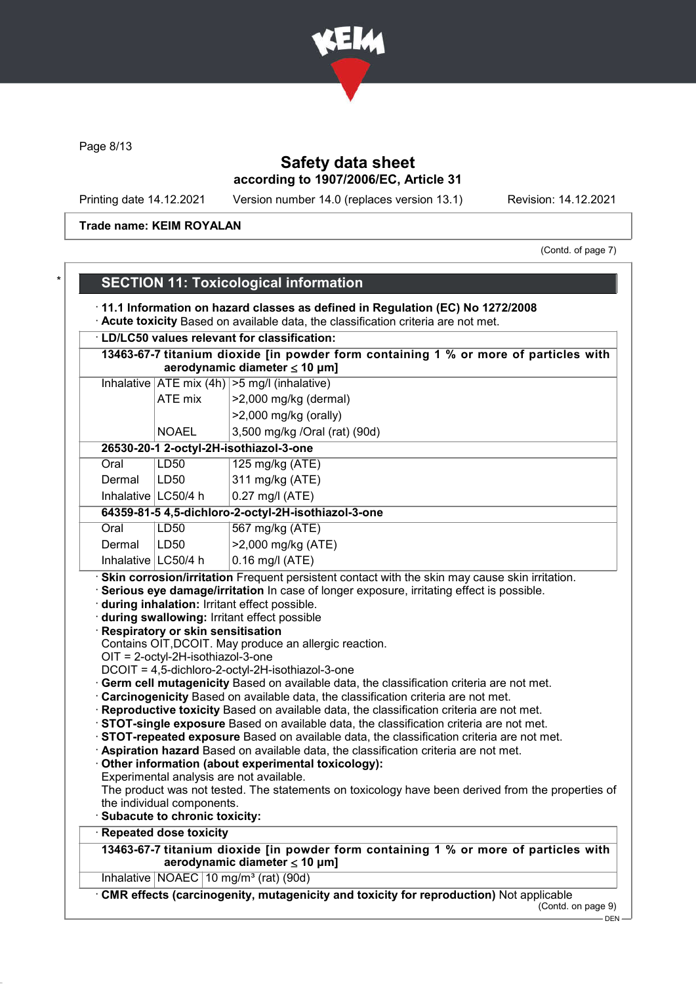

Page 8/13

# Safety data sheet according to 1907/2006/EC, Article 31

Printing date 14.12.2021 Version number 14.0 (replaces version 13.1) Revision: 14.12.2021

Trade name: KEIM ROYALAN

(Contd. of page 7)

|        |                                                             | · LD/LC50 values relevant for classification:                                                                                                                                                                                                                                                                                                                                                                                                                                                                                                                                                                                                                                                                                                                                                                                                                              |
|--------|-------------------------------------------------------------|----------------------------------------------------------------------------------------------------------------------------------------------------------------------------------------------------------------------------------------------------------------------------------------------------------------------------------------------------------------------------------------------------------------------------------------------------------------------------------------------------------------------------------------------------------------------------------------------------------------------------------------------------------------------------------------------------------------------------------------------------------------------------------------------------------------------------------------------------------------------------|
|        |                                                             | 13463-67-7 titanium dioxide [in powder form containing 1 % or more of particles with<br>aerodynamic diameter $\leq 10$ µm]                                                                                                                                                                                                                                                                                                                                                                                                                                                                                                                                                                                                                                                                                                                                                 |
|        |                                                             | Inhalative $ ATE \text{ mix } (4h)   > 5 \text{ mg/l } (inhalative)$                                                                                                                                                                                                                                                                                                                                                                                                                                                                                                                                                                                                                                                                                                                                                                                                       |
|        | ATE mix                                                     | >2,000 mg/kg (dermal)                                                                                                                                                                                                                                                                                                                                                                                                                                                                                                                                                                                                                                                                                                                                                                                                                                                      |
|        |                                                             | $>2,000$ mg/kg (orally)                                                                                                                                                                                                                                                                                                                                                                                                                                                                                                                                                                                                                                                                                                                                                                                                                                                    |
|        | <b>NOAEL</b>                                                | 3,500 mg/kg /Oral (rat) (90d)                                                                                                                                                                                                                                                                                                                                                                                                                                                                                                                                                                                                                                                                                                                                                                                                                                              |
|        |                                                             | 26530-20-1 2-octyl-2H-isothiazol-3-one                                                                                                                                                                                                                                                                                                                                                                                                                                                                                                                                                                                                                                                                                                                                                                                                                                     |
| Oral   | <b>LD50</b>                                                 | 125 mg/kg (ATE)                                                                                                                                                                                                                                                                                                                                                                                                                                                                                                                                                                                                                                                                                                                                                                                                                                                            |
| Dermal | LD50                                                        | 311 mg/kg (ATE)                                                                                                                                                                                                                                                                                                                                                                                                                                                                                                                                                                                                                                                                                                                                                                                                                                                            |
|        | Inhalative $LC50/4 h$                                       | 0.27 mg/l (ATE)                                                                                                                                                                                                                                                                                                                                                                                                                                                                                                                                                                                                                                                                                                                                                                                                                                                            |
|        |                                                             | 64359-81-5 4,5-dichloro-2-octyl-2H-isothiazol-3-one                                                                                                                                                                                                                                                                                                                                                                                                                                                                                                                                                                                                                                                                                                                                                                                                                        |
| Oral   | <b>LD50</b>                                                 | 567 mg/kg (ATE)                                                                                                                                                                                                                                                                                                                                                                                                                                                                                                                                                                                                                                                                                                                                                                                                                                                            |
| Dermal | LD50                                                        | >2,000 mg/kg (ATE)                                                                                                                                                                                                                                                                                                                                                                                                                                                                                                                                                                                                                                                                                                                                                                                                                                                         |
|        | Inhalative   LC50/4 h                                       | $0.16$ mg/l (ATE)                                                                                                                                                                                                                                                                                                                                                                                                                                                                                                                                                                                                                                                                                                                                                                                                                                                          |
|        | · Respiratory or skin sensitisation                         | · Skin corrosion/irritation Frequent persistent contact with the skin may cause skin irritation.<br>Serious eye damage/irritation In case of longer exposure, irritating effect is possible.<br>during inhalation: Irritant effect possible.<br>during swallowing: Irritant effect possible                                                                                                                                                                                                                                                                                                                                                                                                                                                                                                                                                                                |
|        | $OIT = 2$ -octyl-2H-isothiazol-3-one                        | Contains OIT, DCOIT. May produce an allergic reaction.<br>DCOIT = 4,5-dichloro-2-octyl-2H-isothiazol-3-one<br>Germ cell mutagenicity Based on available data, the classification criteria are not met.<br>Carcinogenicity Based on available data, the classification criteria are not met.<br>Reproductive toxicity Based on available data, the classification criteria are not met.<br>STOT-single exposure Based on available data, the classification criteria are not met.<br>STOT-repeated exposure Based on available data, the classification criteria are not met.<br>Aspiration hazard Based on available data, the classification criteria are not met.<br>Other information (about experimental toxicology):<br>Experimental analysis are not available.<br>The product was not tested. The statements on toxicology have been derived from the properties of |
|        | the individual components.<br>Subacute to chronic toxicity: |                                                                                                                                                                                                                                                                                                                                                                                                                                                                                                                                                                                                                                                                                                                                                                                                                                                                            |
|        | <b>Repeated dose toxicity</b>                               |                                                                                                                                                                                                                                                                                                                                                                                                                                                                                                                                                                                                                                                                                                                                                                                                                                                                            |
|        |                                                             | 13463-67-7 titanium dioxide [in powder form containing 1 % or more of particles with<br>aerodynamic diameter $\leq 10$ µm]                                                                                                                                                                                                                                                                                                                                                                                                                                                                                                                                                                                                                                                                                                                                                 |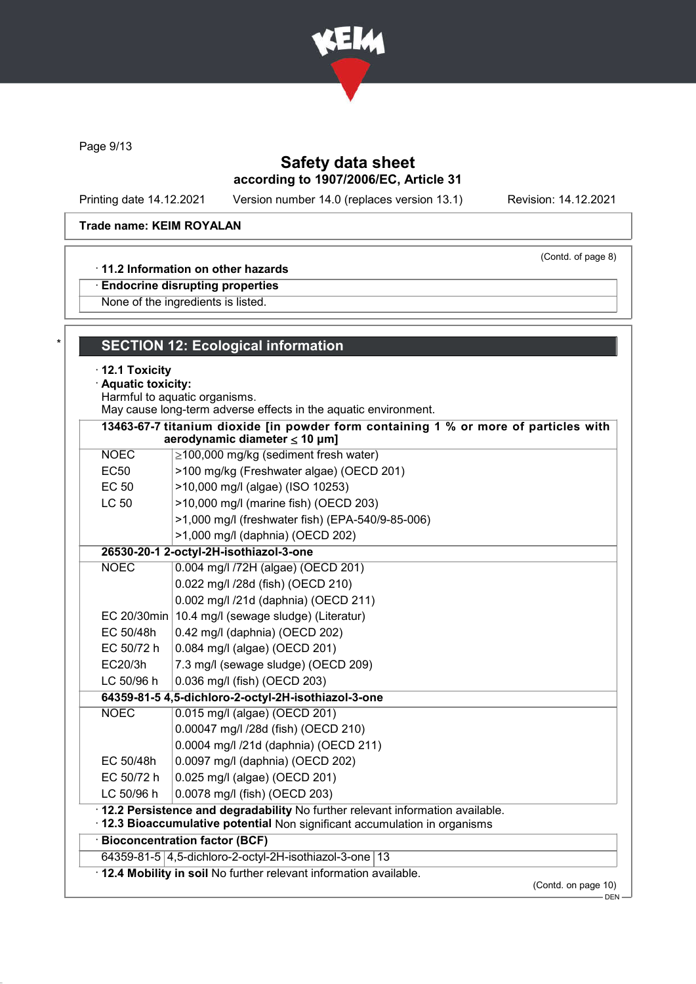

Page 9/13

# Safety data sheet according to 1907/2006/EC, Article 31

Printing date 14.12.2021 Version number 14.0 (replaces version 13.1) Revision: 14.12.2021

(Contd. of page 8)

### Trade name: KEIM ROYALAN

#### · 11.2 Information on other hazards

· Endocrine disrupting properties

None of the ingredients is listed.

|                  | Harmful to aquatic organisms.<br>May cause long-term adverse effects in the aquatic environment.                                                              |
|------------------|---------------------------------------------------------------------------------------------------------------------------------------------------------------|
|                  | 13463-67-7 titanium dioxide [in powder form containing 1 % or more of particles with<br>aerodynamic diameter $\leq$ 10 µm]                                    |
| <b>NOEC</b>      | $\geq$ 100,000 mg/kg (sediment fresh water)                                                                                                                   |
| EC <sub>50</sub> | >100 mg/kg (Freshwater algae) (OECD 201)                                                                                                                      |
| <b>EC 50</b>     | >10,000 mg/l (algae) (ISO 10253)                                                                                                                              |
| <b>LC 50</b>     | >10,000 mg/l (marine fish) (OECD 203)                                                                                                                         |
|                  | >1,000 mg/l (freshwater fish) (EPA-540/9-85-006)                                                                                                              |
|                  | >1,000 mg/l (daphnia) (OECD 202)                                                                                                                              |
|                  | 26530-20-1 2-octyl-2H-isothiazol-3-one                                                                                                                        |
| <b>NOEC</b>      | 0.004 mg/l /72H (algae) (OECD 201)                                                                                                                            |
|                  | 0.022 mg/l /28d (fish) (OECD 210)                                                                                                                             |
|                  | 0.002 mg/l /21d (daphnia) (OECD 211)                                                                                                                          |
|                  | EC 20/30min 10.4 mg/l (sewage sludge) (Literatur)                                                                                                             |
| EC 50/48h        | 0.42 mg/l (daphnia) (OECD 202)                                                                                                                                |
| EC 50/72 h       | 0.084 mg/l (algae) (OECD 201)                                                                                                                                 |
| EC20/3h          | 7.3 mg/l (sewage sludge) (OECD 209)                                                                                                                           |
| LC 50/96 h       | 0.036 mg/l (fish) (OECD 203)                                                                                                                                  |
|                  | 64359-81-5 4,5-dichloro-2-octyl-2H-isothiazol-3-one                                                                                                           |
| <b>NOEC</b>      | 0.015 mg/l (algae) (OECD 201)                                                                                                                                 |
|                  | 0.00047 mg/l /28d (fish) (OECD 210)                                                                                                                           |
|                  | 0.0004 mg/l /21d (daphnia) (OECD 211)                                                                                                                         |
| EC 50/48h        | 0.0097 mg/l (daphnia) (OECD 202)                                                                                                                              |
| EC 50/72 h       | 0.025 mg/l (algae) (OECD 201)                                                                                                                                 |
| LC 50/96 h       | 0.0078 mg/l (fish) (OECD 203)                                                                                                                                 |
|                  | · 12.2 Persistence and degradability No further relevant information available.<br>· 12.3 Bioaccumulative potential Non significant accumulation in organisms |
|                  | · Bioconcentration factor (BCF)                                                                                                                               |
|                  | 64359-81-5 4,5-dichloro-2-octyl-2H-isothiazol-3-one 13                                                                                                        |
|                  | · 12.4 Mobility in soil No further relevant information available.                                                                                            |
|                  | (Contd. on page 10)                                                                                                                                           |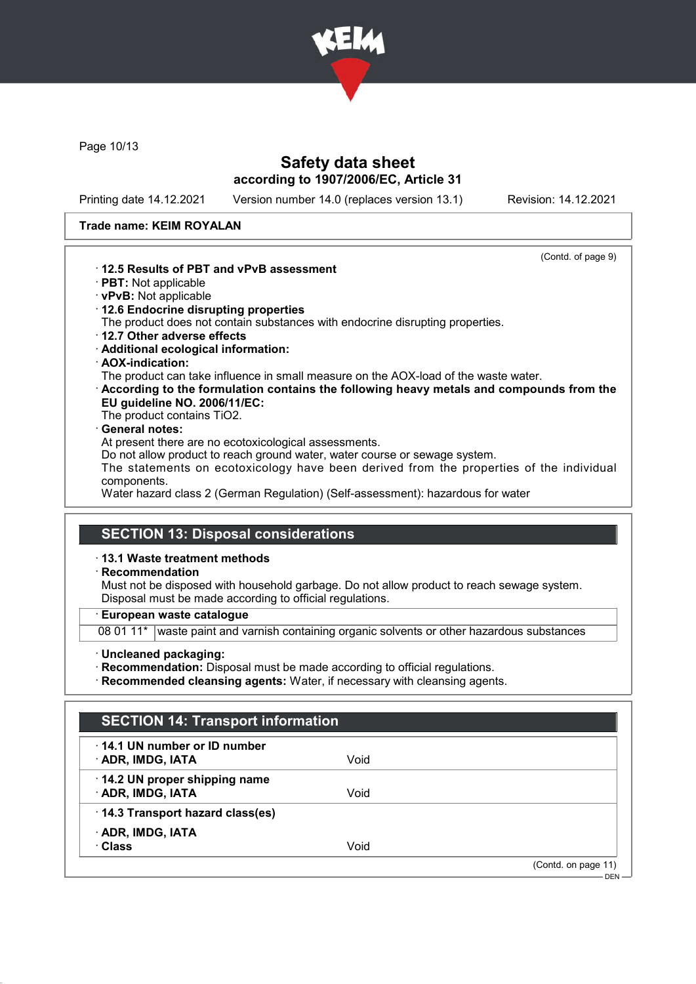

Page 10/13

### Safety data sheet according to 1907/2006/EC, Article 31

Printing date 14.12.2021 Version number 14.0 (replaces version 13.1) Revision: 14.12.2021

(Contd. of page 9)

#### Trade name: KEIM ROYALAN



- · vPvB: Not applicable
- · 12.6 Endocrine disrupting properties
- The product does not contain substances with endocrine disrupting properties.
- · 12.7 Other adverse effects
- · Additional ecological information:
- · AOX-indication:

The product can take influence in small measure on the AOX-load of the waste water.

- · According to the formulation contains the following heavy metals and compounds from the EU guideline NO. 2006/11/EC:
- The product contains TiO2.

### General notes:

At present there are no ecotoxicological assessments.

Do not allow product to reach ground water, water course or sewage system.

The statements on ecotoxicology have been derived from the properties of the individual components.

Water hazard class 2 (German Regulation) (Self-assessment): hazardous for water

# SECTION 13: Disposal considerations

### · 13.1 Waste treatment methods

· Recommendation

Must not be disposed with household garbage. Do not allow product to reach sewage system. Disposal must be made according to official regulations.

#### · European waste catalogue

08 01 11\* waste paint and varnish containing organic solvents or other hazardous substances

· Uncleaned packaging:

· Recommendation: Disposal must be made according to official regulations.

· Recommended cleansing agents: Water, if necessary with cleansing agents.

| <b>SECTION 14: Transport information</b>                  |      |                     |
|-----------------------------------------------------------|------|---------------------|
| $\cdot$ 14.1 UN number or ID number<br>· ADR, IMDG, IATA  | Void |                     |
| $\cdot$ 14.2 UN proper shipping name<br>· ADR, IMDG, IATA | Void |                     |
| 14.3 Transport hazard class(es)                           |      |                     |
| · ADR, IMDG, IATA<br>· Class                              | Void |                     |
|                                                           |      | (Contd. on page 11) |
|                                                           |      | $DEN -$             |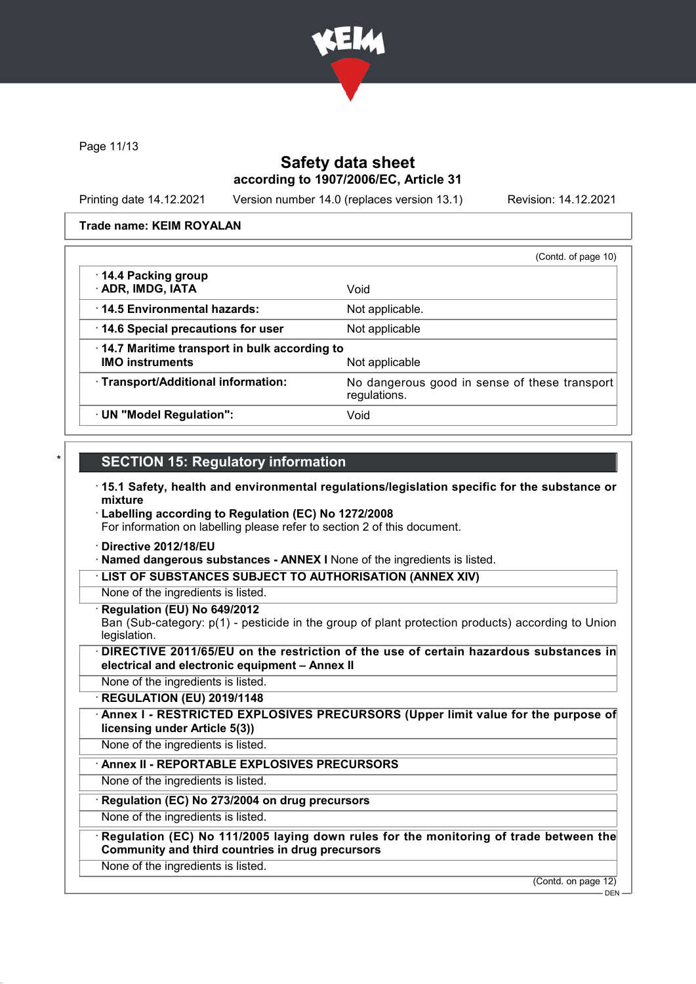

Page 11/13

### Safety data sheet according to 1907/2006/EC, Article 31

Printing date 14.12.2021 Version number 14.0 (replaces version 13.1) Revision: 14.12.2021

Trade name: KEIM ROYALAN

|                                                                        | (Contd. of page 10)                                           |
|------------------------------------------------------------------------|---------------------------------------------------------------|
| 14.4 Packing group<br>· ADR, IMDG, IATA                                | Void                                                          |
| 14.5 Environmental hazards:                                            | Not applicable.                                               |
| 14.6 Special precautions for user                                      | Not applicable                                                |
| 14.7 Maritime transport in bulk according to<br><b>IMO instruments</b> | Not applicable                                                |
| · Transport/Additional information:                                    | No dangerous good in sense of these transport<br>regulations. |
| · UN "Model Regulation":                                               | Void                                                          |

#### **SECTION 15: Regulatory information**

- · 15.1 Safety, health and environmental regulations/legislation specific for the substance or mixture
- · Labelling according to Regulation (EC) No 1272/2008 For information on labelling please refer to section 2 of this document.
- · Directive 2012/18/EU
- · Named dangerous substances ANNEX I None of the ingredients is listed.
- · LIST OF SUBSTANCES SUBJECT TO AUTHORISATION (ANNEX XIV)
- None of the ingredients is listed.
- · Regulation (EU) No 649/2012

Ban (Sub-category: p(1) - pesticide in the group of plant protection products) according to Union legislation.

DIRECTIVE 2011/65/EU on the restriction of the use of certain hazardous substances in electrical and electronic equipment – Annex II

None of the ingredients is listed.

· REGULATION (EU) 2019/1148

Annex I - RESTRICTED EXPLOSIVES PRECURSORS (Upper limit value for the purpose of licensing under Article 5(3))

None of the ingredients is listed.

### Annex II - REPORTABLE EXPLOSIVES PRECURSORS

None of the ingredients is listed.

### Regulation (EC) No 273/2004 on drug precursors

None of the ingredients is listed.

Regulation (EC) No 111/2005 laying down rules for the monitoring of trade between the Community and third countries in drug precursors

None of the ingredients is listed.

(Contd. on page 12)

 $-$  DEN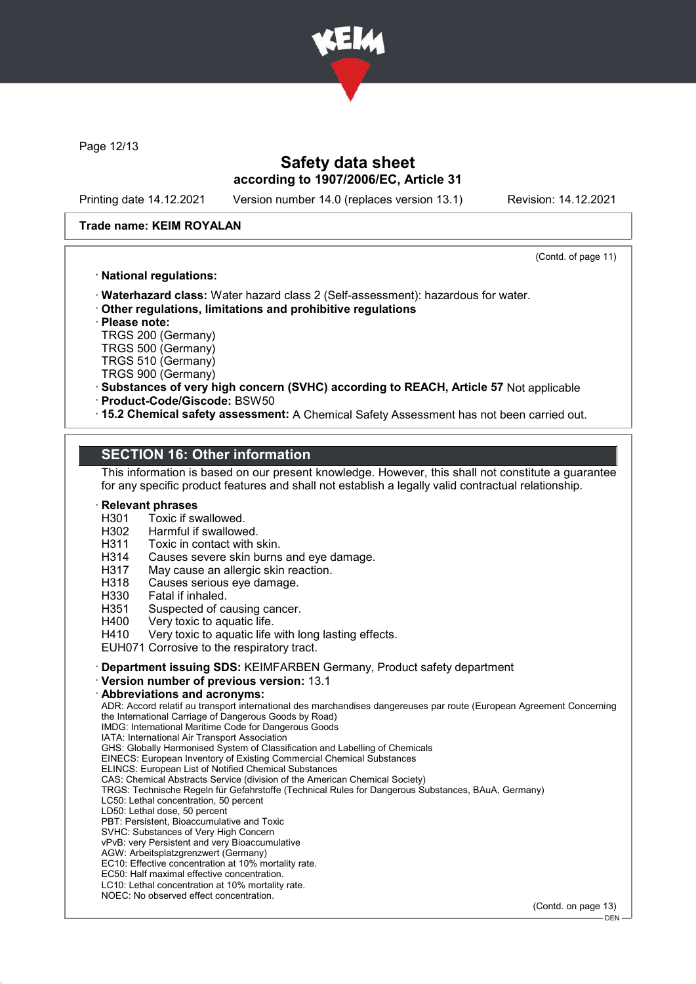

Page 12/13

### Safety data sheet according to 1907/2006/EC, Article 31

Printing date 14.12.2021 Version number 14.0 (replaces version 13.1) Revision: 14.12.2021

#### Trade name: KEIM ROYALAN

(Contd. of page 11)

#### · National regulations:

· Waterhazard class: Water hazard class 2 (Self-assessment): hazardous for water.

· Other regulations, limitations and prohibitive regulations

· Please note:

TRGS 200 (Germany) TRGS 500 (Germany)

TRGS 510 (Germany)

TRGS 900 (Germany)

- · Substances of very high concern (SVHC) according to REACH, Article 57 Not applicable · Product-Code/Giscode: BSW50
- · 15.2 Chemical safety assessment: A Chemical Safety Assessment has not been carried out.

### SECTION 16: Other information

This information is based on our present knowledge. However, this shall not constitute a guarantee for any specific product features and shall not establish a legally valid contractual relationship.

# **Relevant phrases**<br>H301 Toxic if sv

- H301 Toxic if swallowed.<br>H302 Harmful if swallowe
- H<sub>302</sub> Harmful if swallowed.<br>H<sub>311</sub> Toxic in contact with s
- Toxic in contact with skin.
- H314 Causes severe skin burns and eye damage.
- H317 May cause an allergic skin reaction.
- H318 Causes serious eye damage.
- H330 Fatal if inhaled.
- H351 Suspected of causing cancer.<br>H400 Very toxic to aquatic life.
- H400 Very toxic to aquatic life.<br>H410 Very toxic to aquatic life
- Very toxic to aquatic life with long lasting effects.

EUH071 Corrosive to the respiratory tract.

- · Department issuing SDS: KEIMFARBEN Germany, Product safety department
- · Version number of previous version: 13.1
- · Abbreviations and acronyms:

ADR: Accord relatif au transport international des marchandises dangereuses par route (European Agreement Concerning the International Carriage of Dangerous Goods by Road)

IMDG: International Maritime Code for Dangerous Goods IATA: International Air Transport Association

GHS: Globally Harmonised System of Classification and Labelling of Chemicals

EINECS: European Inventory of Existing Commercial Chemical Substances

ELINCS: European List of Notified Chemical Substances

CAS: Chemical Abstracts Service (division of the American Chemical Society)

TRGS: Technische Regeln für Gefahrstoffe (Technical Rules for Dangerous Substances, BAuA, Germany)

LC50: Lethal concentration, 50 percent

LD50: Lethal dose, 50 percent

PBT: Persistent, Bioaccumulative and Toxic

SVHC: Substances of Very High Concern vPvB: very Persistent and very Bioaccumulative

AGW: Arbeitsplatzgrenzwert (Germany)

EC10: Effective concentration at 10% mortality rate.

EC50: Half maximal effective concentration.

LC10: Lethal concentration at 10% mortality rate.

NOEC: No observed effect concentration.

(Contd. on page 13)